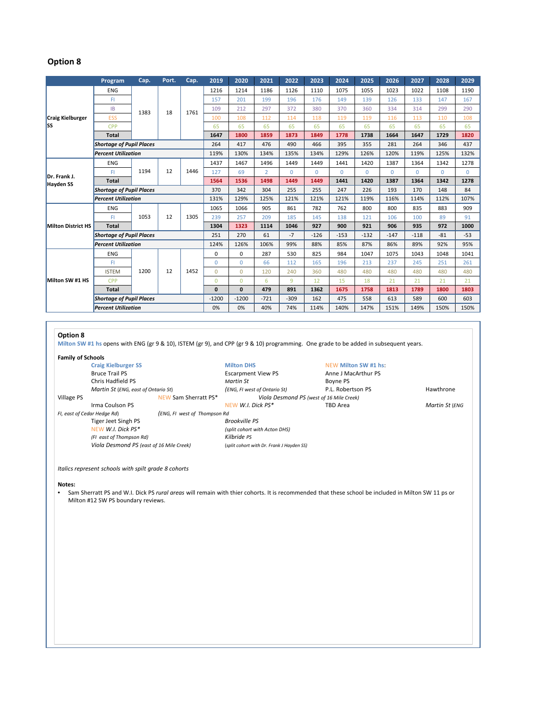## **Option 8**

|                                  | Program                         | Cap. | Port. | Cap. | 2019         | 2020     | 2021           | 2022     | 2023     | 2024     | 2025     | 2026     | 2027     | 2028     | 2029     |
|----------------------------------|---------------------------------|------|-------|------|--------------|----------|----------------|----------|----------|----------|----------|----------|----------|----------|----------|
| Craig Kielburger<br>lss          | <b>ENG</b>                      | 1383 | 18    | 1761 | 1216         | 1214     | 1186           | 1126     | 1110     | 1075     | 1055     | 1023     | 1022     | 1108     | 1190     |
|                                  | FI                              |      |       |      | 157          | 201      | 199            | 196      | 176      | 149      | 139      | 126      | 133      | 147      | 167      |
|                                  | <b>IB</b>                       |      |       |      | 109          | 212      | 297            | 372      | 380      | 370      | 360      | 334      | 314      | 299      | 290      |
|                                  | <b>ESS</b>                      |      |       |      | 100          | 108      | 112            | 114      | 118      | 119      | 119      | 116      | 113      | 110      | 108      |
|                                  | CPP                             |      |       |      | 65           | 65       | 65             | 65       | 65       | 65       | 65       | 65       | 65       | 65       | 65       |
|                                  | <b>Total</b>                    |      |       |      | 1647         | 1800     | 1859           | 1873     | 1849     | 1778     | 1738     | 1664     | 1647     | 1729     | 1820     |
|                                  | <b>Shortage of Pupil Places</b> |      |       |      | 264          | 417      | 476            | 490      | 466      | 395      | 355      | 281      | 264      | 346      | 437      |
|                                  | <b>Percent Utilization</b>      |      |       |      | 119%         | 130%     | 134%           | 135%     | 134%     | 129%     | 126%     | 120%     | 119%     | 125%     | 132%     |
| Dr. Frank J.<br><b>Hayden SS</b> | <b>ENG</b>                      | 1194 | 12    | 1446 | 1437         | 1467     | 1496           | 1449     | 1449     | 1441     | 1420     | 1387     | 1364     | 1342     | 1278     |
|                                  | FI                              |      |       |      | 127          | 69       | $\overline{2}$ | $\Omega$ | $\Omega$ | $\Omega$ | $\Omega$ | $\Omega$ | $\Omega$ | $\Omega$ | $\Omega$ |
|                                  | <b>Total</b>                    |      |       |      | 1564         | 1536     | 1498           | 1449     | 1449     | 1441     | 1420     | 1387     | 1364     | 1342     | 1278     |
|                                  | <b>Shortage of Pupil Places</b> |      |       |      | 370          | 342      | 304            | 255      | 255      | 247      | 226      | 193      | 170      | 148      | 84       |
|                                  | <b>Percent Utilization</b>      |      |       |      | 131%         | 129%     | 125%           | 121%     | 121%     | 121%     | 119%     | 116%     | 114%     | 112%     | 107%     |
| <b>Milton District HS</b>        | <b>ENG</b>                      | 1053 | 12    | 1305 | 1065         | 1066     | 905            | 861      | 782      | 762      | 800      | 800      | 835      | 883      | 909      |
|                                  | FI.                             |      |       |      | 239          | 257      | 209            | 185      | 145      | 138      | 121      | 106      | 100      | 89       | 91       |
|                                  | <b>Total</b>                    |      |       |      | 1304         | 1323     | 1114           | 1046     | 927      | 900      | 921      | 906      | 935      | 972      | 1000     |
|                                  | <b>Shortage of Pupil Places</b> |      |       |      | 251          | 270      | 61             | $-7$     | $-126$   | $-153$   | $-132$   | $-147$   | $-118$   | $-81$    | $-53$    |
|                                  | <b>Percent Utilization</b>      |      |       |      | 124%         | 126%     | 106%           | 99%      | 88%      | 85%      | 87%      | 86%      | 89%      | 92%      | 95%      |
| Milton SW #1 HS                  | <b>ENG</b>                      | 1200 | 12    | 1452 | $\Omega$     | $\Omega$ | 287            | 530      | 825      | 984      | 1047     | 1075     | 1043     | 1048     | 1041     |
|                                  | FI                              |      |       |      | $\Omega$     | $\Omega$ | 66             | 112      | 165      | 196      | 213      | 237      | 245      | 251      | 261      |
|                                  | <b>ISTEM</b>                    |      |       |      | $\Omega$     | $\Omega$ | 120            | 240      | 360      | 480      | 480      | 480      | 480      | 480      | 480      |
|                                  | <b>CPP</b>                      |      |       |      | $\mathbf{0}$ | $\Omega$ | 6              | 9        | 12       | 15       | 18       | 21       | 21       | 21       | 21       |
|                                  | <b>Total</b>                    |      |       |      | $\mathbf{0}$ | $\bf{0}$ | 479            | 891      | 1362     | 1675     | 1758     | 1813     | 1789     | 1800     | 1803     |
|                                  | <b>Shortage of Pupil Places</b> |      |       |      | $-1200$      | $-1200$  | $-721$         | $-309$   | 162      | 475      | 558      | 613      | 589      | 600      | 603      |
|                                  | <b>Percent Utilization</b>      |      |       |      | 0%           | 0%       | 40%            | 74%      | 114%     | 140%     | 147%     | 151%     | 149%     | 150%     | 150%     |

### **Option 8**

**Milton SW #1 hs** opens with ENG (gr 9 & 10), ISTEM (gr 9), and CPP (gr 9 & 10) programming. One grade to be added in subsequent years.

**Family of Schools Craig** Kielburger SS **Milton DHS Craig Kielburger** SS **Bruce Trail PS Bruce Trail PS Bruce Trail PS Bruce Trail PS Bruce Trail PS Bruce Trail PS Bruce Trail PS Bruce Trail PS Bruce Trail PS Bruce T** Chris Hadfield PS<br> *Martin St* (ENG, east of Ontario St) *CNG, Flivest of Ontario St***) P.L.** Robertson PS Village PS NEW Sam Sherratt PS\* *Viola Desmond PS (west of 16 Mile Creek)*

*FI, east of Cedar Hedge Rd*) *(ENG, FI west of Thompson Rd* Tiger Jeet Singh PS<br>*BEW W.I. Dick PS*\* *(FI east of Thompson Rd) Kilbride PS Viola Desmond PS (east of 16 Mile Creek)* (*split cohort with Dr. Frank J Hayden SS)*

Escarpment View PS *Martini St* (*ENG, FI west of Ontario St*) **(ENG,** *El* **P.L. Robertson PS** Hawthrone **NEW** Sam Sherratt PS\* *(Viola Desmond PS (west of 16 Mile Creek)* Irma Coulson PS NEW *W.I. Dick PS\** TBD Area *Martin St* (*ENG*

*Italics represent schools with spilt grade 8 cohorts*

**Notes:**

• Sam Sherratt PS and W.I. Dick PS *rural areas* will remain with thier cohorts. It is recommended that these school be included in Milton SW 11 ps or Milton #12 SW PS boundary reviews.

 $(split$  *cohort with*  $Action$  *DHS* $)$